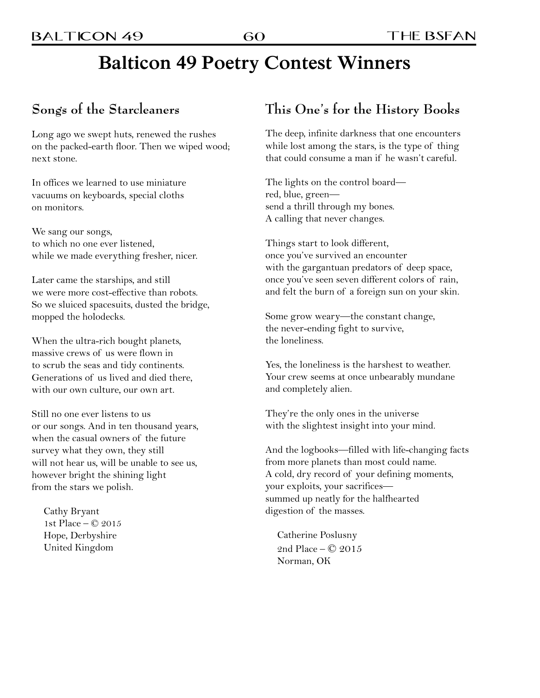## **Balticon 49 Poetry Contest Winners**

### **Songs of the Starcleaners**

Long ago we swept huts, renewed the rushes on the packed-earth floor. Then we wiped wood; next stone.

In offices we learned to use miniature vacuums on keyboards, special cloths on monitors.

We sang our songs, to which no one ever listened, while we made everything fresher, nicer.

Later came the starships, and still we were more cost-effective than robots. So we sluiced spacesuits, dusted the bridge, mopped the holodecks.

When the ultra-rich bought planets, massive crews of us were flown in to scrub the seas and tidy continents. Generations of us lived and died there, with our own culture, our own art.

Still no one ever listens to us or our songs. And in ten thousand years, when the casual owners of the future survey what they own, they still will not hear us, will be unable to see us, however bright the shining light from the stars we polish.

Cathy Bryant 1st Place – © 2015 Hope, Derbyshire United Kingdom

#### **This One's for the History Books**

The deep, infinite darkness that one encounters while lost among the stars, is the type of thing that could consume a man if he wasn't careful.

The lights on the control board red, blue, green send a thrill through my bones. A calling that never changes.

Things start to look different, once you've survived an encounter with the gargantuan predators of deep space, once you've seen seven different colors of rain, and felt the burn of a foreign sun on your skin.

Some grow weary—the constant change, the never-ending fight to survive, the loneliness.

Yes, the loneliness is the harshest to weather. Your crew seems at once unbearably mundane and completely alien.

They're the only ones in the universe with the slightest insight into your mind.

And the logbooks—filled with life-changing facts from more planets than most could name. A cold, dry record of your defining moments, your exploits, your sacrifices summed up neatly for the halfhearted digestion of the masses.

Catherine Poslusny 2nd Place – © 2015 Norman, OK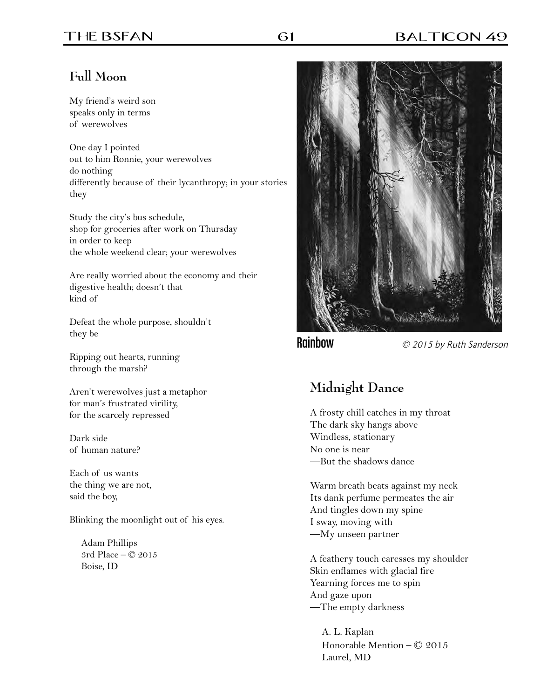### **Full Moon**

My friend's weird son speaks only in terms of werewolves

One day I pointed out to him Ronnie, your werewolves do nothing differently because of their lycanthropy; in your stories they

Study the city's bus schedule, shop for groceries after work on Thursday in order to keep the whole weekend clear; your werewolves

Are really worried about the economy and their digestive health; doesn't that kind of

Defeat the whole purpose, shouldn't they be

Ripping out hearts, running through the marsh?

Aren't werewolves just a metaphor for man's frustrated virility, for the scarcely repressed

Dark side of human nature?

Each of us wants the thing we are not, said the boy,

Blinking the moonlight out of his eyes.

Adam Phillips 3rd Place – © 2015 Boise, ID



Rainbow © 2015 by Ruth Sanderson

## **Midnight Dance**

A frosty chill catches in my throat The dark sky hangs above Windless, stationary No one is near —But the shadows dance

Warm breath beats against my neck Its dank perfume permeates the air And tingles down my spine I sway, moving with —My unseen partner

A feathery touch caresses my shoulder Skin enflames with glacial fire Yearning forces me to spin And gaze upon —The empty darkness

A. L. Kaplan Honorable Mention – © 2015 Laurel, MD